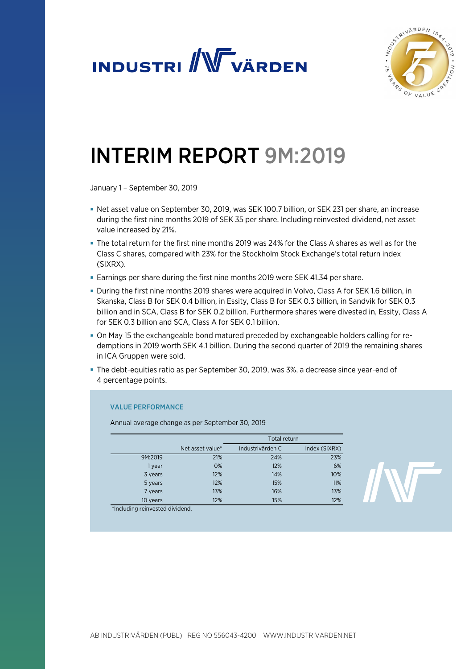



# INTERIM REPORT 9M:2019

January 1 – September 30, 2019

- Net asset value on September 30, 2019, was SEK 100.7 billion, or SEK 231 per share, an increase during the first nine months 2019 of SEK 35 per share. Including reinvested dividend, net asset value increased by 21%.
- The total return for the first nine months 2019 was 24% for the Class A shares as well as for the Class C shares, compared with 23% for the Stockholm Stock Exchange's total return index (SIXRX).
- Earnings per share during the first nine months 2019 were SEK 41.34 per share.
- During the first nine months 2019 shares were acquired in Volvo, Class A for SEK 1.6 billion, in Skanska, Class B for SEK 0.4 billion, in Essity, Class B for SEK 0.3 billion, in Sandvik for SEK 0.3 billion and in SCA, Class B for SEK 0.2 billion. Furthermore shares were divested in, Essity, Class A for SEK 0.3 billion and SCA, Class A for SEK 0.1 billion.
- On May 15 the exchangeable bond matured preceded by exchangeable holders calling for redemptions in 2019 worth SEK 4.1 billion. During the second quarter of 2019 the remaining shares in ICA Gruppen were sold.
- The debt-equities ratio as per September 30, 2019, was 3%, a decrease since year-end of 4 percentage points.

### VALUE PERFORMANCE

Annual average change as per September 30, 2019

|          |                  | Total return     |               |  |
|----------|------------------|------------------|---------------|--|
|          | Net asset value* | Industrivärden C | Index (SIXRX) |  |
| 9M:2019  | 21%              | 24%              | 23%           |  |
| 1 year   | 0%               | 12%              | 6%            |  |
| 3 years  | 12%              | 14%              | 10%           |  |
| 5 years  | 12%              | 15%              | 11%           |  |
| 7 years  | 13%              | 16%              | 13%           |  |
| 10 years | 12%              | 15%              | 12%           |  |

\*Including reinvested dividend.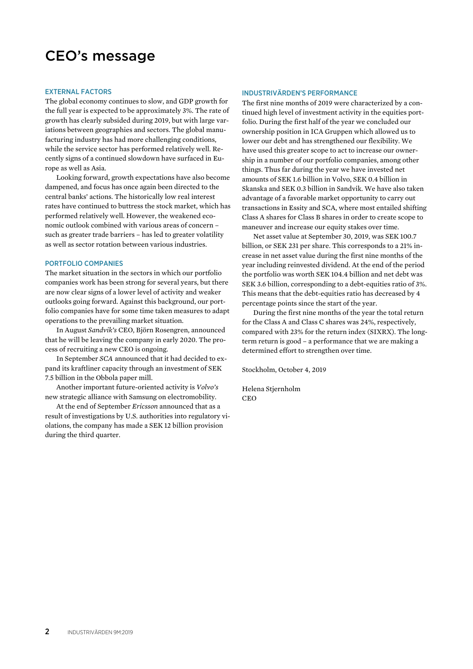# CEO's message

#### EXTERNAL FACTORS

The global economy continues to slow, and GDP growth for the full year is expected to be approximately 3%. The rate of growth has clearly subsided during 2019, but with large variations between geographies and sectors. The global manufacturing industry has had more challenging conditions, while the service sector has performed relatively well. Recently signs of a continued slowdown have surfaced in Europe as well as Asia.

Looking forward, growth expectations have also become dampened, and focus has once again been directed to the central banks' actions. The historically low real interest rates have continued to buttress the stock market, which has performed relatively well. However, the weakened economic outlook combined with various areas of concern – such as greater trade barriers – has led to greater volatility as well as sector rotation between various industries.

#### PORTFOLIO COMPANIES

The market situation in the sectors in which our portfolio companies work has been strong for several years, but there are now clear signs of a lower level of activity and weaker outlooks going forward. Against this background, our portfolio companies have for some time taken measures to adapt operations to the prevailing market situation.

In August *Sandvik's* CEO, Björn Rosengren, announced that he will be leaving the company in early 2020. The process of recruiting a new CEO is ongoing.

In September *SCA* announced that it had decided to expand its kraftliner capacity through an investment of SEK 7.5 billion in the Obbola paper mill.

Another important future-oriented activity is *Volvo's* new strategic alliance with Samsung on electromobility.

At the end of September *Ericsson* announced that as a result of investigations by U.S. authorities into regulatory violations, the company has made a SEK 12 billion provision during the third quarter.

#### INDUSTRIVÄRDEN'S PERFORMANCE

The first nine months of 2019 were characterized by a continued high level of investment activity in the equities portfolio. During the first half of the year we concluded our ownership position in ICA Gruppen which allowed us to lower our debt and has strengthened our flexibility. We have used this greater scope to act to increase our ownership in a number of our portfolio companies, among other things. Thus far during the year we have invested net amounts of SEK 1.6 billion in Volvo, SEK 0.4 billion in Skanska and SEK 0.3 billion in Sandvik. We have also taken advantage of a favorable market opportunity to carry out transactions in Essity and SCA, where most entailed shifting Class A shares for Class B shares in order to create scope to maneuver and increase our equity stakes over time.

Net asset value at September 30, 2019, was SEK 100.7 billion, or SEK 231 per share. This corresponds to a 21% increase in net asset value during the first nine months of the year including reinvested dividend. At the end of the period the portfolio was worth SEK 104.4 billion and net debt was SEK 3.6 billion, corresponding to a debt-equities ratio of 3%. This means that the debt-equities ratio has decreased by 4 percentage points since the start of the year.

During the first nine months of the year the total return for the Class A and Class C shares was 24%, respectively, compared with 23% for the return index (SIXRX). The longterm return is good – a performance that we are making a determined effort to strengthen over time.

Stockholm, October 4, 2019

Helena Stjernholm CEO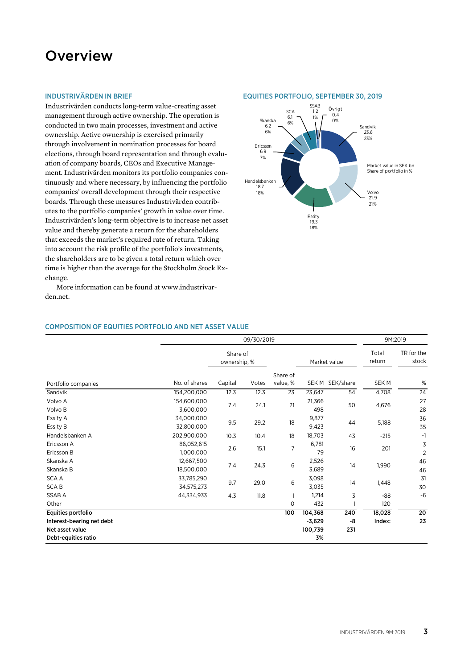# **Overview**

#### INDUSTRIVÄRDEN IN BRIEF

Industrivärden conducts long-term value-creating asset management through active ownership. The operation is conducted in two main processes, investment and active ownership. Active ownership is exercised primarily through involvement in nomination processes for board elections, through board representation and through evaluation of company boards, CEOs and Executive Management. Industrivärden monitors its portfolio companies continuously and where necessary, by influencing the portfolio companies' overall development through their respective boards. Through these measures Industrivärden contributes to the portfolio companies' growth in value over time. Industrivärden's long-term objective is to increase net asset value and thereby generate a return for the shareholders that exceeds the market's required rate of return. Taking into account the risk profile of the portfolio's investments, the shareholders are to be given a total return which over time is higher than the average for the Stockholm Stock Exchange.

More information can be found at www.industrivarden.net.

#### EQUITIES PORTFOLIO, SEPTEMBER 30, 2019



#### COMPOSITION OF EQUITIES PORTFOLIO AND NET ASSET VALUE

|                           | 09/30/2019    |                          |             |                |          |                 | 9M:2019         |                     |
|---------------------------|---------------|--------------------------|-------------|----------------|----------|-----------------|-----------------|---------------------|
|                           |               | Share of<br>ownership, % |             |                |          | Market value    | Total<br>return | TR for the<br>stock |
|                           |               |                          |             | Share of       |          |                 |                 |                     |
| Portfolio companies       | No. of shares | Capital                  | Votes       | value, %       |          | SEK M SEK/share | <b>SEKM</b>     | $\%$                |
| Sandvik                   | 154,200,000   | 12.3                     | 12.3        | 23             | 23,647   | 54              | 4,708           | 24                  |
| Volvo A                   | 154,600,000   | 24.1<br>7.4              |             | 21             | 21,366   | 50              | 4,676           | 27                  |
| Volvo B                   | 3,600,000     |                          |             |                | 498      |                 |                 | 28                  |
| Essity A                  | 34,000,000    |                          | 9.5<br>29.2 | 18             | 9,877    | 44              | 5,188           | 36                  |
| Essity B                  | 32,800,000    |                          |             |                | 9,423    |                 |                 | 35                  |
| Handelsbanken A           | 202,900,000   | 10.3                     | 10.4        | 18             | 18,703   | 43              | $-215$          | $-1$                |
| Ericsson A                | 86,052,615    |                          | 2.6<br>15.1 | $\overline{7}$ | 6,781    | 16              | 201             | 3                   |
| Ericsson B                | 1,000,000     |                          |             |                | 79       |                 |                 |                     |
| Skanska A                 | 12,667,500    | 24.3<br>7.4              | 6           | 2,526          | 14       | 1,990           | 46              |                     |
| Skanska B                 | 18,500,000    |                          | 3,689       |                | 46       |                 |                 |                     |
| <b>SCAA</b>               | 33,785,290    |                          | 9.7<br>29.0 | 6              | 3,098    | 14              | 1,448           | 31                  |
| <b>SCAB</b>               | 34,575,273    |                          |             |                | 3,035    |                 |                 | 30                  |
| SSAB A                    | 44,334,933    | 4.3                      | 11.8        | $\mathbf{1}$   | 1,214    | 3               | $-88$           | $-6$                |
| Other                     |               |                          |             | $\circ$        | 432      |                 | 120             |                     |
| Equities portfolio        |               |                          |             | 100            | 104,368  | 240             | 18,028          | 20                  |
| Interest-bearing net debt |               |                          |             |                | $-3,629$ | -8              | Index:          | 23                  |
| Net asset value           |               |                          |             |                | 100,739  | 231             |                 |                     |
| Debt-equities ratio       |               |                          |             |                | 3%       |                 |                 |                     |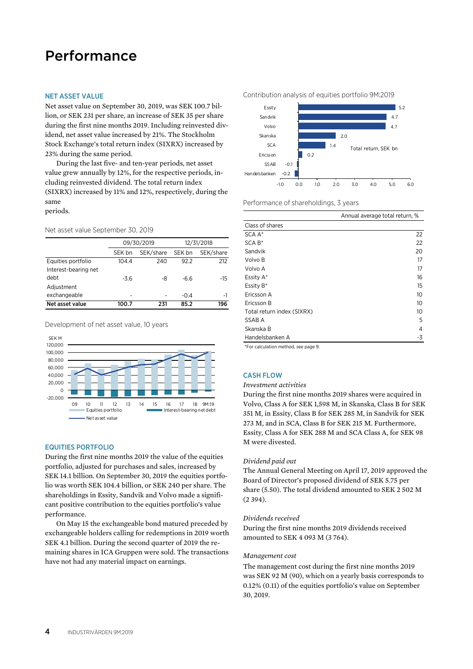# Performance

#### NET ASSET VALUE

Net asset value on September 30, 2019, was SEK 100.7 billion, or SEK 231 per share, an increase of SEK 35 per share during the first nine months 2019. Including reinvested dividend, net asset value increased by 21%. The Stockholm Stock Exchange's total return index (SIXRX) increased by 23% during the same period.

During the last five- and ten-year periods, net asset value grew annually by 12%, for the respective periods, including reinvested dividend. The total return index (SIXRX) increased by 11% and 12%, respectively, during the same

periods.

Net asset value September 30, 2019

|                      |        | 09/30/2019 | 12/31/2018 |           |  |
|----------------------|--------|------------|------------|-----------|--|
|                      | SEK bn | SEK/share  | SEK bn     | SEK/share |  |
| Equities portfolio   | 104.4  | 240        | 92.2       | 212       |  |
| Interest-bearing net |        |            |            |           |  |
| debt                 | $-3.6$ | -8         | -6.6       | -15       |  |
| Adjustment           |        |            |            |           |  |
| exchangeable         | -      |            | $-0.4$     | -1        |  |
| Net asset value      | 100.7  | 231        | 85.2       | 196       |  |

Development of net asset value, 10 years



#### EQUITIES PORTFOLIO

During the first nine months 2019 the value of the equities portfolio, adjusted for purchases and sales, increased by SEK 14.1 billion. On September 30, 2019 the equities portfolio was worth SEK 104.4 billion, or SEK 240 per share. The shareholdings in Essity, Sandvik and Volvo made a significant positive contribution to the equities portfolio's value performance.

On May 15 the exchangeable bond matured preceded by exchangeable holders calling for redemptions in 2019 worth SEK 4.1 billion. During the second quarter of 2019 the remaining shares in ICA Gruppen were sold. The transactions have not had any material impact on earnings.

Contribution analysis of equities portfolio 9M:2019



Performance of shareholdings, 3 years

|                            | Annual average total return, % |
|----------------------------|--------------------------------|
| Class of shares            |                                |
| SCA A*                     | 22                             |
| $SCA B*$                   | 22                             |
| Sandvik                    | 20                             |
| Volvo B                    | 17                             |
| Volvo A                    | 17                             |
| Essity A*                  | 16                             |
| Essity B*                  | 15                             |
| Ericsson A                 | 10                             |
| Ericsson B                 | 10                             |
| Total return index (SIXRX) | 10                             |
| SSAB A                     | 5                              |
| Skanska B                  | 4                              |
| Handelsbanken A            | -3                             |
|                            |                                |

\*For calculation method, see page 9.

### CASH FLOW

#### *Investment activities*

During the first nine months 2019 shares were acquired in Volvo, Class A for SEK 1,598 M, in Skanska, Class B for SEK 351 M, in Essity, Class B for SEK 285 M, in Sandvik for SEK 273 M, and in SCA, Class B for SEK 215 M. Furthermore, Essity, Class A for SEK 288 M and SCA Class A, for SEK 98 M were divested.

#### *Dividend paid out*

The Annual General Meeting on April 17, 2019 approved the Board of Director's proposed dividend of SEK 5.75 per share (5.50). The total dividend amounted to SEK 2 502 M (2 394).

#### *Dividends received*

During the first nine months 2019 dividends received amounted to SEK 4 093 M (3 764).

#### *Management cost*

The management cost during the first nine months 2019 was SEK 92 M (90), which on a yearly basis corresponds to 0.12% (0.11) of the equities portfolio's value on September 30, 2019.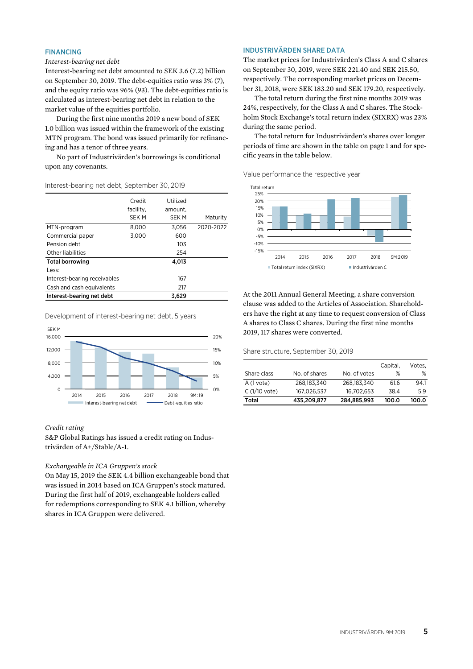#### FINANCING

#### *Interest-bearing net debt*

Interest-bearing net debt amounted to SEK 3.6 (7.2) billion on September 30, 2019. The debt-equities ratio was 3% (7), and the equity ratio was 96% (93). The debt-equities ratio is calculated as interest-bearing net debt in relation to the market value of the equities portfolio.

During the first nine months 2019 a new bond of SEK 1.0 billion was issued within the framework of the existing MTN program. The bond was issued primarily for refinancing and has a tenor of three years.

No part of Industrivärden's borrowings is conditional upon any covenants.

#### Interest-bearing net debt, September 30, 2019

|                              | Credit<br>facility.<br><b>SEK M</b> | Utilized<br>amount.<br><b>SEK M</b> | Maturity  |
|------------------------------|-------------------------------------|-------------------------------------|-----------|
| MTN-program                  | 8,000                               | 3.056                               | 2020-2022 |
| Commercial paper             | 3,000                               | 600                                 |           |
| Pension debt                 |                                     | 103                                 |           |
| Other liabilities            |                                     | 254                                 |           |
| <b>Total borrowing</b>       |                                     | 4.013                               |           |
| Less:                        |                                     |                                     |           |
| Interest-bearing receivables |                                     | 167                                 |           |
| Cash and cash equivalents    |                                     | 217                                 |           |
| Interest-bearing net debt    |                                     | 3.629                               |           |

Development of interest-bearing net debt, 5 years



#### *Credit rating*

S&P Global Ratings has issued a credit rating on Industrivärden of A+/Stable/A-1.

#### *Exchangeable in ICA Gruppen's stock*

On May 15, 2019 the SEK 4.4 billion exchangeable bond that was issued in 2014 based on ICA Gruppen's stock matured. During the first half of 2019, exchangeable holders called for redemptions corresponding to SEK 4.1 billion, whereby shares in ICA Gruppen were delivered.

#### INDUSTRIVÄRDEN SHARE DATA

The market prices for Industrivärden's Class A and C shares on September 30, 2019, were SEK 221.40 and SEK 215.50, respectively. The corresponding market prices on December 31, 2018, were SEK 183.20 and SEK 179.20, respectively.

The total return during the first nine months 2019 was 24%, respectively, for the Class A and C shares. The Stockholm Stock Exchange's total return index (SIXRX) was 23% during the same period.

The total return for Industrivärden's shares over longer periods of time are shown in the table on page 1 and for specific years in the table below.

Value performance the respective year



At the 2011 Annual General Meeting, a share conversion clause was added to the Articles of Association. Shareholders have the right at any time to request conversion of Class A shares to Class C shares. During the first nine months 2019, 117 shares were converted.

Share structure, September 30, 2019

|                |               |              | Capital, | Votes. |
|----------------|---------------|--------------|----------|--------|
| Share class    | No. of shares | No. of votes | %        | ℅      |
| $A(1$ vote)    | 268.183.340   | 268.183.340  | 61.6     | 94.1   |
| $C(1/10$ vote) | 167.026.537   | 16.702.653   | 38.4     | 5.9    |
| Total          | 435,209,877   | 284,885,993  | 100.0    | 100.0  |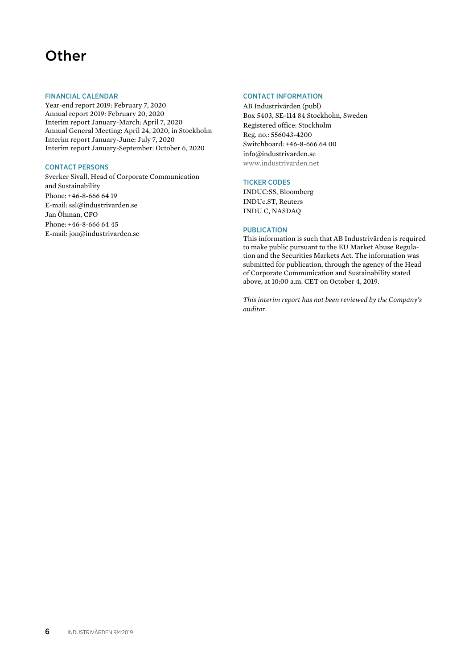# **Other**

#### FINANCIAL CALENDAR

Year-end report 2019: February 7, 2020 Annual report 2019: February 20, 2020 Interim report January-March: April 7, 2020 Annual General Meeting: April 24, 2020, in Stockholm Interim report January-June: July 7, 2020 Interim report January-September: October 6, 2020

### CONTACT PERSONS

Sverker Sivall, Head of Corporate Communication and Sustainability Phone: +46-8-666 64 19 E-mail: ssl@industrivarden.se Jan Öhman, CFO Phone: +46-8-666 64 45 E-mail: jon@industrivarden.se

### CONTACT INFORMATION

AB Industrivärden (publ) Box 5403, SE-114 84 Stockholm, Sweden Registered office: Stockholm Reg. no.: 556043-4200 Switchboard: +46-8-666 64 00 info@industrivarden.se www.industrivarden.net

### TICKER CODES

INDUC:SS, Bloomberg INDUc.ST, Reuters INDU C, NASDAQ

#### PUBLICATION

This information is such that AB Industrivärden is required to make public pursuant to the EU Market Abuse Regulation and the Securities Markets Act. The information was submitted for publication, through the agency of the Head of Corporate Communication and Sustainability stated above, at 10:00 a.m. CET on October 4, 2019.

*This interim report has not been reviewed by the Company's auditor.*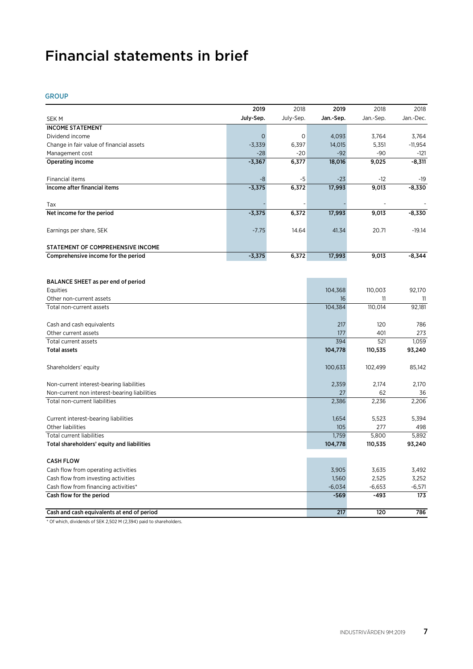# Financial statements in brief

GROUP

|                                              | 2019        | 2018      | 2019      | 2018               | 2018         |
|----------------------------------------------|-------------|-----------|-----------|--------------------|--------------|
| <b>SEKM</b>                                  | July-Sep.   | July-Sep. | Jan.-Sep. | Jan.-Sep.          | Jan.-Dec.    |
| <b>INCOME STATEMENT</b>                      |             |           |           |                    |              |
| Dividend income                              | $\mathbf 0$ | 0         | 4,093     | 3,764              | 3,764        |
| Change in fair value of financial assets     | $-3,339$    | 6,397     | 14,015    | 5,351              | $-11,954$    |
| Management cost                              | $-28$       | $-20$     | $-92$     | $-90$              | $-121$       |
| <b>Operating income</b>                      | $-3,367$    | 6,377     | 18,016    | 9,025              | $-8,311$     |
|                                              |             |           |           |                    |              |
| Financial items                              | -8          | -5        | $-23$     | $-12$              | -19          |
| Income after financial items                 | $-3,375$    | 6,372     | 17,993    | 9,013              | $-8,330$     |
| Tax                                          |             |           |           |                    |              |
|                                              |             |           |           |                    |              |
| Net income for the period                    | $-3,375$    | 6,372     | 17,993    | 9,013              | $-8,330$     |
| Earnings per share, SEK                      | $-7.75$     | 14.64     | 41.34     | 20.71              | $-19.14$     |
|                                              |             |           |           |                    |              |
| STATEMENT OF COMPREHENSIVE INCOME            |             |           |           |                    |              |
| Comprehensive income for the period          | $-3,375$    | 6,372     | 17,993    | 9,013              | $-8,344$     |
|                                              |             |           |           |                    |              |
|                                              |             |           |           |                    |              |
| BALANCE SHEET as per end of period           |             |           |           | 110,003            | 92,170       |
| Equities                                     |             |           | 104,368   |                    |              |
| Other non-current assets                     |             |           | 16        | 11                 | 11<br>92,181 |
| Total non-current assets                     |             |           | 104,384   | 110,014            |              |
| Cash and cash equivalents                    |             |           | 217       | 120                | 786          |
| Other current assets                         |             |           | 177       | 401                | 273          |
| Total current assets                         |             |           | 394       | 521                | 1,059        |
| <b>Total assets</b>                          |             |           | 104,778   | 110,535            | 93,240       |
|                                              |             |           |           |                    |              |
| Shareholders' equity                         |             |           | 100,633   | 102,499            | 85,142       |
|                                              |             |           |           |                    |              |
| Non-current interest-bearing liabilities     |             |           | 2,359     | 2,174              | 2,170        |
| Non-current non interest-bearing liabilities |             |           | 27        | 62                 | 36           |
| Total non-current liabilities                |             |           | 2,386     | 2,236              | 2,206        |
| Current interest-bearing liabilities         |             |           | 1,654     | 5,523              | 5,394        |
| Other liabilities                            |             |           | 105       | 277                | 498          |
| <b>Total current liabilities</b>             |             |           | 1,759     | 5,800              | 5,892        |
| Total shareholders' equity and liabilities   |             |           | 104,778   | 110,535            | 93,240       |
|                                              |             |           |           |                    |              |
| <b>CASH FLOW</b>                             |             |           |           |                    |              |
| Cash flow from operating activities          |             |           | 3,905     | 3,635              | 3,492        |
| Cash flow from investing activities          |             |           | 1,560     | 2,525              | 3,252        |
| Cash flow from financing activities*         |             |           | $-6,034$  | $-6,653$<br>$-493$ | $-6,571$     |
| Cash flow for the period                     |             |           | -569      |                    | 173          |
| Cash and cash equivalents at end of period   |             |           | 217       | 120                | 786          |

\* Of which, dividends of SEK 2,502 M (2,394) paid to shareholders.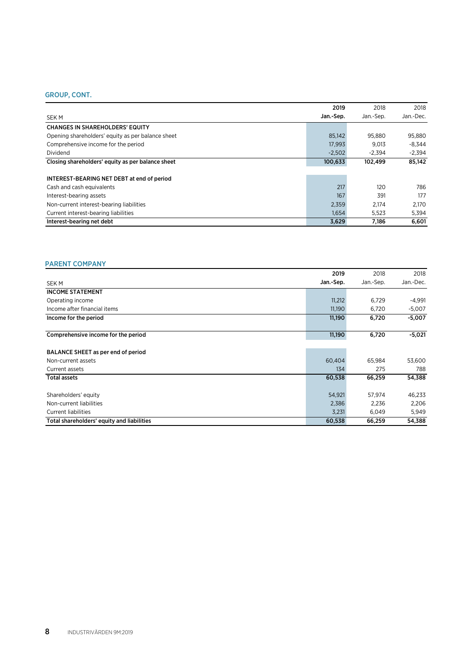### GROUP, CONT.

|                                                   | 2019      | 2018      | 2018      |
|---------------------------------------------------|-----------|-----------|-----------|
| <b>SEKM</b>                                       | Jan.-Sep. | Jan.-Sep. | Jan.-Dec. |
| <b>CHANGES IN SHAREHOLDERS' EQUITY</b>            |           |           |           |
| Opening shareholders' equity as per balance sheet | 85.142    | 95.880    | 95,880    |
| Comprehensive income for the period               | 17.993    | 9.013     | $-8.344$  |
| Dividend                                          | $-2.502$  | $-2.394$  | $-2.394$  |
| Closing shareholders' equity as per balance sheet | 100,633   | 102.499   | 85.142    |
| INTEREST-BEARING NET DEBT at end of period        |           |           |           |
| Cash and cash equivalents                         | 217       | 120       | 786       |
| Interest-bearing assets                           | 167       | 391       | 177       |
| Non-current interest-bearing liabilities          | 2,359     | 2.174     | 2,170     |
| Current interest-bearing liabilities              | 1,654     | 5,523     | 5,394     |
| Interest-bearing net debt                         | 3,629     | 7.186     | 6.601     |

## PARENT COMPANY

|                                            | 2019      | 2018     | 2018      |
|--------------------------------------------|-----------|----------|-----------|
| <b>SEKM</b>                                | Jan.-Sep. | Jan-Sep. | Jan.-Dec. |
| <b>INCOME STATEMENT</b>                    |           |          |           |
| Operating income                           | 11,212    | 6,729    | $-4,991$  |
| Income after financial items               | 11,190    | 6,720    | $-5,007$  |
| Income for the period                      | 11,190    | 6,720    | $-5,007$  |
| Comprehensive income for the period        | 11,190    | 6,720    | $-5,021$  |
| BALANCE SHEET as per end of period         |           |          |           |
| Non-current assets                         | 60,404    | 65.984   | 53,600    |
| Current assets                             | 134       | 275      | 788       |
| <b>Total assets</b>                        | 60,538    | 66,259   | 54,388    |
| Shareholders' equity                       | 54,921    | 57,974   | 46,233    |
| Non-current liabilities                    | 2,386     | 2,236    | 2,206     |
| <b>Current liabilities</b>                 | 3,231     | 6,049    | 5,949     |
| Total shareholders' equity and liabilities | 60,538    | 66,259   | 54,388    |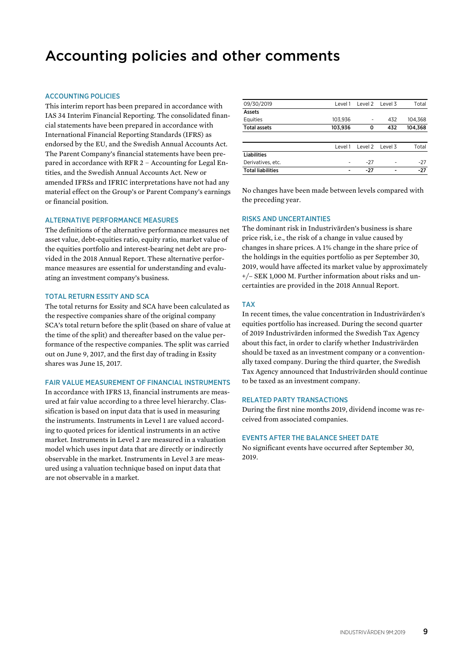# Accounting policies and other comments

#### ACCOUNTING POLICIES

This interim report has been prepared in accordance with IAS 34 Interim Financial Reporting. The consolidated financial statements have been prepared in accordance with International Financial Reporting Standards (IFRS) as endorsed by the EU, and the Swedish Annual Accounts Act. The Parent Company's financial statements have been prepared in accordance with RFR 2 – Accounting for Legal Entities, and the Swedish Annual Accounts Act. New or amended IFRSs and IFRIC interpretations have not had any material effect on the Group's or Parent Company's earnings or financial position.

#### ALTERNATIVE PERFORMANCE MEASURES

The definitions of the alternative performance measures net asset value, debt-equities ratio, equity ratio, market value of the equities portfolio and interest-bearing net debt are provided in the 2018 Annual Report. These alternative performance measures are essential for understanding and evaluating an investment company's business.

#### TOTAL RETURN ESSITY AND SCA

The total returns for Essity and SCA have been calculated as the respective companies share of the original company SCA's total return before the split (based on share of value at the time of the split) and thereafter based on the value performance of the respective companies. The split was carried out on June 9, 2017, and the first day of trading in Essity shares was June 15, 2017.

#### FAIR VALUE MEASUREMENT OF FINANCIAL INSTRUMENTS

In accordance with IFRS 13, financial instruments are measured at fair value according to a three level hierarchy. Classification is based on input data that is used in measuring the instruments. Instruments in Level 1 are valued according to quoted prices for identical instruments in an active market. Instruments in Level 2 are measured in a valuation model which uses input data that are directly or indirectly observable in the market. Instruments in Level 3 are measured using a valuation technique based on input data that are not observable in a market.

| 09/30/2019               |         | Level 1 Level 2 Level 3 |     | Total   |
|--------------------------|---------|-------------------------|-----|---------|
| Assets                   |         |                         |     |         |
| Equities                 | 103.936 |                         | 432 | 104.368 |
| <b>Total assets</b>      | 103,936 | o                       | 432 | 104,368 |
|                          |         |                         |     |         |
|                          | Level 1 | Level 2 Level 3         |     | Total   |
| <b>Liabilities</b>       |         |                         |     |         |
| Derivatives, etc.        |         | $-27$                   |     | -27     |
| <b>Total liabilities</b> | -       | $-27$                   | ۰   | $-27$   |

No changes have been made between levels compared with the preceding year.

#### RISKS AND UNCERTAINTIES

The dominant risk in Industrivärden's business is share price risk, i.e., the risk of a change in value caused by changes in share prices. A 1% change in the share price of the holdings in the equities portfolio as per September 30, 2019, would have affected its market value by approximately +/– SEK 1,000 M. Further information about risks and uncertainties are provided in the 2018 Annual Report.

#### TAX

In recent times, the value concentration in Industrivärden's equities portfolio has increased. During the second quarter of 2019 Industrivärden informed the Swedish Tax Agency about this fact, in order to clarify whether Industrivärden should be taxed as an investment company or a conventionally taxed company. During the third quarter, the Swedish Tax Agency announced that Industrivärden should continue to be taxed as an investment company.

#### RELATED PARTY TRANSACTIONS

During the first nine months 2019, dividend income was received from associated companies.

#### EVENTS AFTER THE BALANCE SHEET DATE

No significant events have occurred after September 30, 2019.